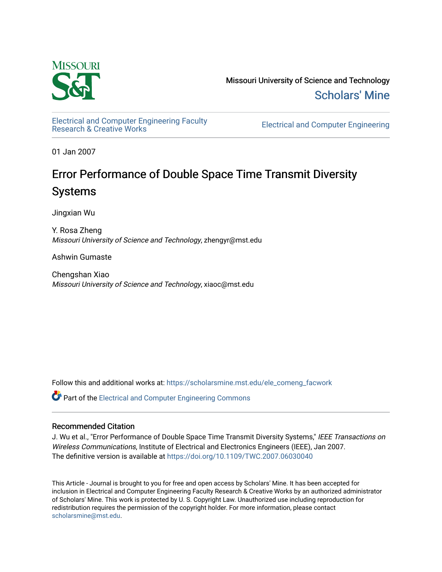

Missouri University of Science and Technology [Scholars' Mine](https://scholarsmine.mst.edu/) 

[Electrical and Computer Engineering Faculty](https://scholarsmine.mst.edu/ele_comeng_facwork)

**Electrical and Computer Engineering** 

01 Jan 2007

# Error Performance of Double Space Time Transmit Diversity Systems

Jingxian Wu

Y. Rosa Zheng Missouri University of Science and Technology, zhengyr@mst.edu

Ashwin Gumaste

Chengshan Xiao Missouri University of Science and Technology, xiaoc@mst.edu

Follow this and additional works at: [https://scholarsmine.mst.edu/ele\\_comeng\\_facwork](https://scholarsmine.mst.edu/ele_comeng_facwork?utm_source=scholarsmine.mst.edu%2Fele_comeng_facwork%2F1020&utm_medium=PDF&utm_campaign=PDFCoverPages)

**C** Part of the Electrical and Computer Engineering Commons

# Recommended Citation

J. Wu et al., "Error Performance of Double Space Time Transmit Diversity Systems," IEEE Transactions on Wireless Communications, Institute of Electrical and Electronics Engineers (IEEE), Jan 2007. The definitive version is available at <https://doi.org/10.1109/TWC.2007.06030040>

This Article - Journal is brought to you for free and open access by Scholars' Mine. It has been accepted for inclusion in Electrical and Computer Engineering Faculty Research & Creative Works by an authorized administrator of Scholars' Mine. This work is protected by U. S. Copyright Law. Unauthorized use including reproduction for redistribution requires the permission of the copyright holder. For more information, please contact [scholarsmine@mst.edu.](mailto:scholarsmine@mst.edu)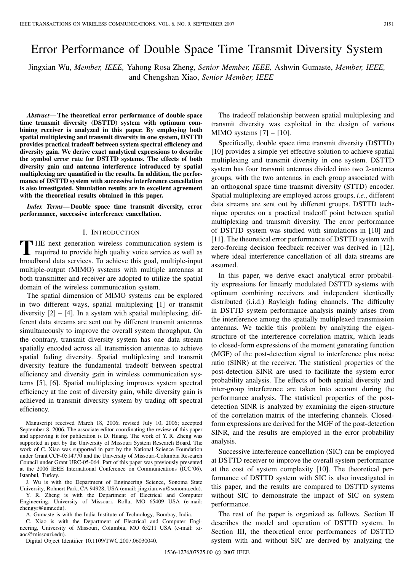# Error Performance of Double Space Time Transmit Diversity System

Jingxian Wu, *Member, IEEE,* Yahong Rosa Zheng, *Senior Member, IEEE,* Ashwin Gumaste, *Member, IEEE,* and Chengshan Xiao, *Senior Member, IEEE*

*Abstract***— The theoretical error performance of double space time transmit diversity (DSTTD) system with optimum combining receiver is analyzed in this paper. By employing both spatial multiplexing and transmit diversity in one system, DSTTD provides practical tradeoff between system spectral efficiency and diversity gain. We derive exact analytical expressions to describe the symbol error rate for DSTTD systems. The effects of both diversity gain and antenna interference introduced by spatial multiplexing are quantified in the results. In addition, the performance of DSTTD system with successive interference cancellation is also investigated. Simulation results are in excellent agreement with the theoretical results obtained in this paper.**

*Index Terms***— Double space time transmit diversity, error performance, successive interference cancellation.**

### I. INTRODUCTION

**T** HE next generation wireless communication system is<br>required to provide high quality voice service as well as broadband data services. To achieve this goal, multiple-input multiple-output (MIMO) systems with multiple antennas at both transmitter and receiver are adopted to utilize the spatial domain of the wireless communication system.

The spatial dimension of MIMO systems can be explored in two different ways, spatial multiplexing [1] or transmit diversity  $[2] - [4]$ . In a system with spatial multiplexing, different data streams are sent out by different transmit antennas simultaneously to improve the overall system throughput. On the contrary, transmit diversity system has one data stream spatially encoded across all transmission antennas to achieve spatial fading diversity. Spatial multiplexing and transmit diversity feature the fundamental tradeoff between spectral efficiency and diversity gain in wireless communication systems [5], [6]. Spatial multiplexing improves system spectral efficiency at the cost of diversity gain, while diversity gain is achieved in transmit diversity system by trading off spectral efficiency.

Manuscript received March 18, 2006; revised July 10, 2006; accepted September 8, 2006. The associate editor coordinating the review of this paper and approving it for publication is D. Huang. The work of Y. R. Zheng was supported in part by the University of Missouri System Research Board. The work of C. Xiao was supported in part by the National Science Foundation under Grant CCF-0514770 and the University of Missouri-Columbia Research Council under Grant URC-05-064. Part of this paper was previously presented at the 2006 IEEE International Conference on Communications (ICC'06), Istanbul, Turkey.

J. Wu is with the Department of Engineering Science, Sonoma State University, Rohnert Park, CA 94928, USA (email: jingxian.wu@sonoma.edu).

Y. R. Zheng is with the Department of Electrical and Computer Engineering, University of Missouri, Rolla, MO 65409 USA (e-mail: zhengyr@umr.edu).

A. Gumaste is with the India Institute of Technology, Bombay, India.

C. Xiao is with the Department of Electrical and Computer Engineering, University of Missouri, Columbia, MO 65211 USA (e-mail: xiaoc@missouri.edu).

Digital Object Identifier 10.1109/TWC.2007.06030040.

The tradeoff relationship between spatial multiplexing and transmit diversity was exploited in the design of various MIMO systems  $[7] - [10]$ .

Specifically, double space time transmit diversity (DSTTD) [10] provides a simple yet effective solution to achieve spatial multiplexing and transmit diversity in one system. DSTTD system has four transmit antennas divided into two 2-antenna groups, with the two antennas in each group associated with an orthogonal space time transmit diversity (STTD) encoder. Spatial multiplexing are employed across groups, *i.e.*, different data streams are sent out by different groups. DSTTD technique operates on a practical tradeoff point between spatial multiplexing and transmit diversity. The error performance of DSTTD system was studied with simulations in [10] and [11]. The theoretical error performance of DSTTD system with zero-forcing decision feedback receiver was derived in [12], where ideal interference cancellation of all data streams are assumed.

In this paper, we derive exact analytical error probability expressions for linearly modulated DSTTD systems with optimum combining receivers and independent identically distributed (i.i.d.) Rayleigh fading channels. The difficulty in DSTTD system performance analysis mainly arises from the interference among the spatially multiplexed transmission antennas. We tackle this problem by analyzing the eigenstructure of the interference correlation matrix, which leads to closed-form expressions of the moment generating function (MGF) of the post-detection signal to interference plus noise ratio (SINR) at the receiver. The statistical properties of the post-detection SINR are used to facilitate the system error probability analysis. The effects of both spatial diversity and inter-group interference are taken into account during the performance analysis. The statistical properties of the postdetection SINR is analyzed by examining the eigen-structure of the correlation matrix of the interfering channels. Closedform expressions are derived for the MGF of the post-detection SINR, and the results are employed in the error probability analysis.

Successive interference cancellation (SIC) can be employed at DSTTD receiver to improve the overall system performance at the cost of system complexity [10]. The theoretical performance of DSTTD system with SIC is also investigated in this paper, and the results are compared to DSTTD systems without SIC to demonstrate the impact of SIC on system performance.

The rest of the paper is organized as follows. Section II describes the model and operation of DSTTD system. In Section III, the theoretical error performances of DSTTD system with and without SIC are derived by analyzing the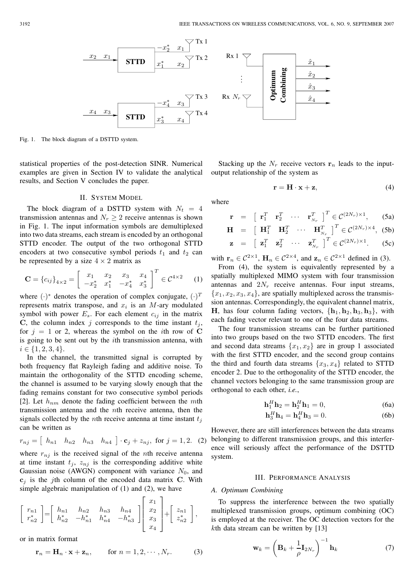

Fig. 1. The block diagram of a DSTTD system.

statistical properties of the post-detection SINR. Numerical examples are given in Section IV to validate the analytical results, and Section V concludes the paper.

#### II. SYSTEM MODEL

The block diagram of a DSTTD system with  $N_t = 4$ transmission antennas and  $N_r \geq 2$  receive antennas is shown in Fig. 1. The input information symbols are demultiplexed into two data streams, each stream is encoded by an orthogonal STTD encoder. The output of the two orthogonal STTD encoders at two consecutive symbol periods  $t_1$  and  $t_2$  can be represented by a size  $4 \times 2$  matrix as

$$
\mathbf{C} = \{c_{ij}\}_{4 \times 2} = \begin{bmatrix} x_1 & x_2 & x_3 & x_4 \\ -x_2^* & x_1^* & -x_4^* & x_3^* \end{bmatrix}^T \in \mathcal{C}^{4 \times 2} \quad (1)
$$

where  $(\cdot)^*$  denotes the operation of complex conjugate,  $(\cdot)^T$ represents matrix transpose, and  $x_i$  is an  $M$ -ary modulated symbol with power  $E_s$ . For each element  $c_{ij}$  in the matrix **C**, the column index j corresponds to the time instant  $t_i$ , for  $j = 1$  or 2, whereas the symbol on the *i*th row of C is going to be sent out by the ith transmission antenna, with  $i \in \{1, 2, 3, 4\}.$ 

In the channel, the transmitted signal is corrupted by both frequency flat Rayleigh fading and additive noise. To maintain the orthogonality of the STTD encoding scheme, the channel is assumed to be varying slowly enough that the fading remains constant for two consecutive symbol periods [2]. Let  $h_{nm}$  denote the fading coefficient between the mth transmission antenna and the nth receive antenna, then the signals collected by the *n*th receive antenna at time instant  $t_i$ can be written as

$$
r_{nj} = [h_{n1} \quad h_{n2} \quad h_{n3} \quad h_{n4}] \cdot \mathbf{c}_j + z_{nj}, \text{ for } j = 1, 2. \tag{2}
$$

where  $r_{nj}$  is the received signal of the *n*th receive antenna at time instant  $t_j$ ,  $z_{nj}$  is the corresponding additive white Gaussian noise (AWGN) component with variance  $N_0$ , and  $c_i$  is the j<sup>th</sup> column of the encoded data matrix **C**. With simple algebraic manipulation of (1) and (2), we have

$$
\begin{bmatrix} r_{n1} \ r_{n2}^* \end{bmatrix} = \begin{bmatrix} h_{n1} & h_{n2} & h_{n3} & h_{n4} \ h_{n2}^* & -h_{n1}^* & h_{n4}^* & -h_{n3}^* \end{bmatrix} \begin{bmatrix} x_1 \ x_2 \ x_3 \ x_4 \end{bmatrix} + \begin{bmatrix} z_{n1} \ z_{n2}^* \ z_{n2} \end{bmatrix},
$$

or in matrix format

$$
\mathbf{r}_n = \mathbf{H}_n \cdot \mathbf{x} + \mathbf{z}_n, \qquad \text{for } n = 1, 2, \cdots, N_r. \tag{3}
$$

Stacking up the  $N_r$  receive vectors  $r_n$  leads to the inputoutput relationship of the system as

$$
\mathbf{r} = \mathbf{H} \cdot \mathbf{x} + \mathbf{z},\tag{4}
$$

where

$$
\mathbf{r} = \begin{bmatrix} \mathbf{r}_1^T & \mathbf{r}_2^T & \cdots & \mathbf{r}_{N_r}^T \end{bmatrix}^T \in \mathcal{C}^{(2N_r) \times 1}, \qquad (5a)
$$

$$
\mathbf{H} = \begin{bmatrix} \mathbf{H}_1^T & \mathbf{H}_2^T & \cdots & \mathbf{H}_{N_r}^T \end{bmatrix}^T \in \mathcal{C}^{(2N_r) \times 4}, \text{ (5b)}
$$
\n
$$
\mathbf{z} = \begin{bmatrix} \mathbf{z}_1^T & \mathbf{z}_2^T & \cdots & \mathbf{z}_{N_r}^T \end{bmatrix}^T \in \mathcal{C}^{(2N_r) \times 1}. \text{ (5c)}
$$

with  $\mathbf{r}_n \in C^{2\times 1}$ ,  $\mathbf{H}_n \in C^{2\times 4}$ , and  $\mathbf{z}_n \in C^{2\times 1}$  defined in (3).

From (4), the system is equivalently represented by a spatially multiplexed MIMO system with four transmission antennas and  $2N_r$  receive antennas. Four input streams,  ${x_1, x_2, x_3, x_4}$ , are spatially multiplexed across the transmission antennas. Correspondingly, the equivalent channel matrix, **H**, has four column fading vectors,  $\{h_1, h_2, h_3, h_3\}$ , with each fading vector relevant to one of the four data streams.

The four transmission streams can be further partitioned into two groups based on the two STTD encoders. The first and second data streams  $\{x_1, x_2\}$  are in group 1 associated with the first STTD encoder, and the second group contains the third and fourth data streams  $\{x_3, x_4\}$  related to STTD encoder 2. Due to the orthogonality of the STTD encoder, the channel vectors belonging to the same transmission group are orthogonal to each other, *i.e.*,

$$
\mathbf{h}_1^H \mathbf{h}_2 = \mathbf{h}_2^H \mathbf{h}_1 = 0,\tag{6a}
$$

$$
\mathbf{h}_3^H \mathbf{h}_4 = \mathbf{h}_4^H \mathbf{h}_3 = 0. \tag{6b}
$$

However, there are still interferences between the data streams belonging to different transmission groups, and this interference will seriously affect the performance of the DSTTD system.

#### III. PERFORMANCE ANALYSIS

#### *A. Optimum Combining*

To suppress the interference between the two spatially multiplexed transmission groups, optimum combining (OC) is employed at the receiver. The OC detection vectors for the  $k$ th data stream can be written by [13]

$$
\mathbf{w}_k = \left(\mathbf{B}_k + \frac{1}{\rho} \mathbf{I}_{2N_r}\right)^{-1} \mathbf{h}_k \tag{7}
$$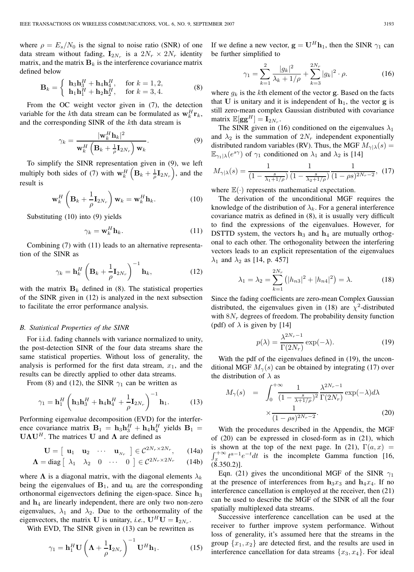where  $\rho = E_s/N_0$  is the signal to noise ratio (SNR) of one data stream without fading,  $\mathbf{I}_{2N_r}$  is a  $2N_r \times 2N_r$  identity matrix, and the matrix  $\mathbf{B}_k$  is the interference covariance matrix defined below

$$
\mathbf{B}_{k} = \begin{cases} \mathbf{h}_{3}\mathbf{h}_{3}^{H} + \mathbf{h}_{4}\mathbf{h}_{4}^{H}, & \text{for } k = 1, 2, \\ \mathbf{h}_{1}\mathbf{h}_{1}^{H} + \mathbf{h}_{2}\mathbf{h}_{2}^{H}, & \text{for } k = 3, 4. \end{cases}
$$
 (8)

From the OC weight vector given in (7), the detection variable for the kth data stream can be formulated as  $\mathbf{w}_k^H \mathbf{r}_k$ , and the corresponding SINR of the kth data stream is

$$
\gamma_k = \frac{|\mathbf{w}_k^H \mathbf{h}_k|^2}{\mathbf{w}_k^H \left( \mathbf{B}_k + \frac{1}{\rho} \mathbf{I}_{2N_r} \right) \mathbf{w}_k}.
$$
\n(9)

To simplify the SINR representation given in (9), we left multiply both sides of (7) with  $\mathbf{w}_k^H\left(\mathbf{B}_k + \frac{1}{\rho}\mathbf{I}_{2N_r}\right)$ , and the result is

$$
\mathbf{w}_{k}^{H}\left(\mathbf{B}_{k}+\frac{1}{\rho}\mathbf{I}_{2N_{r}}\right)\mathbf{w}_{k}=\mathbf{w}_{k}^{H}\mathbf{h}_{k}.
$$
 (10)

Substituting (10) into (9) yields

$$
\gamma_k = \mathbf{w}_k^H \mathbf{h}_k. \tag{11}
$$

Combining (7) with (11) leads to an alternative representation of the SINR as

$$
\gamma_k = \mathbf{h}_k^H \left( \mathbf{B}_k + \frac{1}{\rho} \mathbf{I}_{2N_r} \right)^{-1} \mathbf{h}_k, \tag{12}
$$

with the matrix  $\mathbf{B}_k$  defined in (8). The statistical properties of the SINR given in (12) is analyzed in the next subsection to facilitate the error performance analysis.

#### *B. Statistical Properties of the SINR*

For i.i.d. fading channels with variance normalized to unity, the post-detection SINR of the four data streams share the same statistical properties. Without loss of generality, the analysis is performed for the first data stream,  $x_1$ , and the results can be directly applied to other data streams.

From (8) and (12), the SINR  $\gamma_1$  can be written as

$$
\gamma_1 = \mathbf{h}_1^H \left( \mathbf{h}_3 \mathbf{h}_3^H + \mathbf{h}_4 \mathbf{h}_4^H + \frac{1}{\rho} \mathbf{I}_{2N_r} \right)^{-1} \mathbf{h}_1. \tag{13}
$$

Performing eigenvalue decomposition (EVD) for the interference covariance matrix  $\mathbf{B}_1 = \mathbf{h}_3 \mathbf{h}_3^H + \mathbf{h}_4 \mathbf{h}_4^H$  yields  $\mathbf{B}_1 = \mathbf{I}_1 \mathbf{A} \mathbf{I}_1^H$ . The matrices  $\mathbf{I}_1$  and  $\mathbf{A}_2$  are defined as **UΛU**<sup>H</sup> . The matrices **U** and **Λ** are defined as

$$
\mathbf{U} = \begin{bmatrix} \mathbf{u}_1 & \mathbf{u}_2 & \cdots & \mathbf{u}_{N_r} \end{bmatrix} \in \mathcal{C}^{2N_r \times 2N_r}, \qquad (14a)
$$

$$
\mathbf{\Lambda} = \text{diag} \begin{bmatrix} \lambda_1 & \lambda_2 & 0 & \cdots & 0 \end{bmatrix} \in \mathcal{C}^{2N_r \times 2N_r} \qquad (14b)
$$

where  $\Lambda$  is a diagonal matrix, with the diagonal elements  $\lambda_k$ being the eigenvalues of  $B_1$ , and  $u_k$  are the corresponding orthonormal eigenvectors defining the eigen-space. Since **<sup>h</sup>**<sup>3</sup> and  $h_4$  are linearly independent, there are only two non-zero eigenvalues,  $\lambda_1$  and  $\lambda_2$ . Due to the orthonormality of the eigenvectors, the matrix **U** is unitary, *i.e.*,  $\mathbf{U}^H \mathbf{U} = \mathbf{I}_{2N_r}$ .

With EVD, The SINR given in (13) can be rewritten as

$$
\gamma_1 = \mathbf{h}_1^H \mathbf{U} \left( \mathbf{\Lambda} + \frac{1}{\rho} \mathbf{I}_{2N_r} \right)^{-1} \mathbf{U}^H \mathbf{h}_1.
$$
 (15)

If we define a new vector,  $\mathbf{g} = \mathbf{U}^H \mathbf{h}_1$ , then the SINR  $\gamma_1$  can be further simplified to

$$
\gamma_1 = \sum_{k=1}^2 \frac{|g_k|^2}{\lambda_k + 1/\rho} + \sum_{k=3}^{2N_r} |g_k|^2 \cdot \rho. \tag{16}
$$

where  $g_k$  is the kth element of the vector **g**. Based on the facts that **U** is unitary and it is independent of  $h_1$ , the vector **g** is still zero-mean complex Gaussian distributed with covariance matrix  $\mathbb{E}[\mathbf{g}\mathbf{g}^H] = \mathbf{I}_{2N_r}$ .

The SINR given in (16) conditioned on the eigenvalues  $\lambda_1$ and  $\lambda_2$  is the summation of  $2N_r$  independent exponentially distributed random variables (RV). Thus, the MGF  $M_{\gamma}(\lambda) =$  $\mathbb{E}_{\gamma_1|\lambda}(e^{s\gamma})$  of  $\gamma_1$  conditioned on  $\lambda_1$  and  $\lambda_2$  is [14]

$$
M_{\gamma|\lambda}(s) = \frac{1}{\left(1 - \frac{s}{\lambda_1 + 1/\rho}\right)} \frac{1}{\left(1 - \frac{s}{\lambda_2 + 1/\rho}\right)} \frac{1}{(1 - \rho s)^{2N_r - 2}}, \tag{17}
$$

where  $\mathbb{E}(\cdot)$  represents mathematical expectation.

The derivation of the unconditional MGF requires the knowledge of the distribution of  $\lambda_k$ . For a general interference covariance matrix as defined in (8), it is usually very difficult to find the expressions of the eigenvalues. However, for DSTTD system, the vectors  $h_3$  and  $h_4$  are mutually orthogonal to each other. The orthogonality between the interfering vectors leads to an explicit representation of the eigenvalues  $\lambda_1$  and  $\lambda_2$  as [14, p. 457]

$$
\lambda_1 = \lambda_2 = \sum_{k=1}^{2N_r} (|h_{n3}|^2 + |h_{n4}|^2) = \lambda.
$$
 (18)

Since the fading coefficients are zero-mean Complex Gaussian distributed, the eigenvalues given in (18) are  $\chi^2$ -distributed with  $8N_r$  degrees of freedom. The probability density function (pdf) of  $\lambda$  is given by [14]

$$
p(\lambda) = \frac{\lambda^{2N_r - 1}}{\Gamma(2N_r)} \exp(-\lambda).
$$
 (19)

With the pdf of the eigenvalues defined in (19), the unconditional MGF  $M_{\gamma}(s)$  can be obtained by integrating (17) over the distribution of  $\lambda$  as

$$
M_{\gamma}(s) = \int_0^{+\infty} \frac{1}{(1 - \frac{s}{\lambda + 1/\rho})^2} \frac{\lambda^{2N_r - 1}}{\Gamma(2N_r)} \exp(-\lambda) d\lambda
$$
  
 
$$
\times \frac{1}{(1 - \rho s)^{2N_r - 2}}.
$$
 (20)

With the procedures described in the Appendix, the MGF of (20) can be expressed in closed-form as in (21), which is shown at the top of the next page. In (21),  $\Gamma(a, x)$  =  $\int_x^{+\infty} t^{a-1}e^{-t}dt$  is the incomplete Gamma function [16, (8.350.2)].

Eqn. (21) gives the unconditional MGF of the SINR  $\gamma_1$ at the presence of interferences from  $h_3x_3$  and  $h_4x_4$ . If no interference cancellation is employed at the receiver, then (21) can be used to describe the MGF of the SINR of all the four spatially multiplexed data streams.

Successive interference cancellation can be used at the receiver to further improve system performance. Without loss of generality, it's assumed here that the streams in the group  $\{x_1, x_2\}$  are detected first, and the results are used in interference cancellation for data streams  $\{x_3, x_4\}$ . For ideal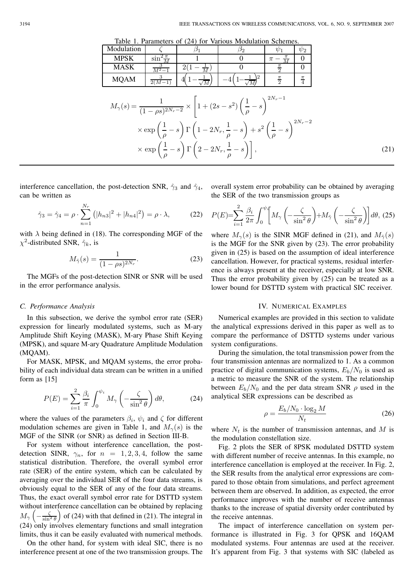Table 1. Parameters of (24) for Various Modulation Schemes.

| Modulation<br>$\beta_1$<br>$\psi_2$<br>$\psi_1$<br>Ø2.<br>$\sin^2\frac{\pi}{M}$<br><b>MPSK</b><br>$\Omega$<br>0<br>$\pi -$<br>$\frac{3}{M^2-1}$<br>$\frac{\pi}{2}$<br><b>MASK</b><br>0<br>0<br>$\frac{\pi}{2}$<br>$\mathbf{\underline{\pi}}$<br><b>MQAM</b><br>$\frac{4}{1}$<br>$2(M-1)$<br>$M_{\gamma}(s) = \frac{1}{(1 - \rho s)^{2N_r - 2}} \times \left[1 + (2s - s^2) \left(\frac{1}{\rho} - s\right)^{2N_r - 1}\right]$<br>$\times \exp \left( \frac{1}{\rho} - s \right) \Gamma \left( 1 - 2 N_r, \frac{1}{\rho} - s \right) + s^2 \left( \frac{1}{\rho} - s \right)^{2 N_r - 2}$<br>$\times \exp\left(\frac{1}{a}-s\right) \Gamma\left(2-2N_r,\frac{1}{a}-s\right)$ ,<br>(21) |  |  |  | Table 1. Farameters of $(24)$ for various modulation schemes. |  |  |  |  |  |
|---------------------------------------------------------------------------------------------------------------------------------------------------------------------------------------------------------------------------------------------------------------------------------------------------------------------------------------------------------------------------------------------------------------------------------------------------------------------------------------------------------------------------------------------------------------------------------------------------------------------------------------------------------------------------------------|--|--|--|---------------------------------------------------------------|--|--|--|--|--|
|                                                                                                                                                                                                                                                                                                                                                                                                                                                                                                                                                                                                                                                                                       |  |  |  |                                                               |  |  |  |  |  |
|                                                                                                                                                                                                                                                                                                                                                                                                                                                                                                                                                                                                                                                                                       |  |  |  |                                                               |  |  |  |  |  |
|                                                                                                                                                                                                                                                                                                                                                                                                                                                                                                                                                                                                                                                                                       |  |  |  |                                                               |  |  |  |  |  |
|                                                                                                                                                                                                                                                                                                                                                                                                                                                                                                                                                                                                                                                                                       |  |  |  |                                                               |  |  |  |  |  |
|                                                                                                                                                                                                                                                                                                                                                                                                                                                                                                                                                                                                                                                                                       |  |  |  |                                                               |  |  |  |  |  |
|                                                                                                                                                                                                                                                                                                                                                                                                                                                                                                                                                                                                                                                                                       |  |  |  |                                                               |  |  |  |  |  |
|                                                                                                                                                                                                                                                                                                                                                                                                                                                                                                                                                                                                                                                                                       |  |  |  |                                                               |  |  |  |  |  |

interference cancellation, the post-detection SNR,  $\hat{\gamma}_3$  and  $\hat{\gamma}_4$ , can be written as

$$
\hat{\gamma}_3 = \hat{\gamma}_4 = \rho \cdot \sum_{n=1}^{N_r} (|h_{n3}|^2 + |h_{n4}|^2) = \rho \cdot \lambda, \tag{22}
$$

with  $\lambda$  being defined in (18). The corresponding MGF of the  $\chi^2$ -distributed SNR,  $\hat{\gamma}_k$ , is

$$
M_{\hat{\gamma}}(s) = \frac{1}{(1 - \rho s)^{2N_r}}.\tag{23}
$$

The MGFs of the post-detection SINR or SNR will be used in the error performance analysis.

#### *C. Performance Analysis*

In this subsection, we derive the symbol error rate (SER) expression for linearly modulated systems, such as M-ary Amplitude Shift Keying (MASK), M-ary Phase Shift Keying (MPSK), and square M-ary Quadrature Amplitude Modulation (MQAM).

For MASK, MPSK, and MQAM systems, the error probability of each individual data stream can be written in a unified form as [15]

$$
P(E) = \sum_{i=1}^{2} \frac{\beta_i}{\pi} \int_0^{\psi_i} M_\gamma \left( -\frac{\zeta}{\sin^2 \theta} \right) d\theta, \tag{24}
$$

where the values of the parameters  $\beta_i$ ,  $\psi_i$  and  $\zeta$  for different modulation schemes are given in Table 1, and  $M_{\gamma}(s)$  is the MGF of the SINR (or SNR) as defined in Section III-B.

For system without interference cancellation, the postdetection SINR,  $\gamma_n$ , for  $n = 1, 2, 3, 4$ , follow the same statistical distribution. Therefore, the overall symbol error rate (SER) of the entire system, which can be calculated by averaging over the individual SER of the four data streams, is obviously equal to the SER of any of the four data streams. Thus, the exact overall symbol error rate for DSTTD system without interference cancellation can be obtained by replacing  $M_{\gamma}\left(-\frac{\zeta}{\sin^2\theta}\right)$  of (24) with that defined in (21). The integral in (24) only involves elementary functions and small integration limits, thus it can be easily evaluated with numerical methods.

On the other hand, for system with ideal SIC, there is no interference present at one of the two transmission groups. The overall system error probability can be obtained by averaging the SER of the two transmission groups as

$$
P(E) = \sum_{i=1}^{2} \frac{\beta_i}{2\pi} \int_0^{\psi_i} \left[ M_\gamma \left( -\frac{\zeta}{\sin^2 \theta} \right) + M_\gamma \left( -\frac{\zeta}{\sin^2 \theta} \right) \right] d\theta, (25)
$$

where  $M_{\gamma}(s)$  is the SINR MGF defined in (21), and  $M_{\gamma}(s)$ is the MGF for the SNR given by (23). The error probability given in (25) is based on the assumption of ideal interference cancellation. However, for practical systems, residual interference is always present at the receiver, especially at low SNR. Thus the error probability given by (25) can be treated as a lower bound for DSTTD system with practical SIC receiver.

#### IV. NUMERICAL EXAMPLES

Numerical examples are provided in this section to validate the analytical expressions derived in this paper as well as to compare the performance of DSTTD systems under various system configurations.

During the simulation, the total transmission power from the four transmission antennas are normalized to 1. As a common practice of digital communication systems,  $E_b/N_0$  is used as a metric to measure the SNR of the system. The relationship between  $E_b/N_0$  and the per data stream SNR  $\rho$  used in the analytical SER expressions can be described as

$$
\rho = \frac{E_b/N_0 \cdot \log_2 M}{N_t} \tag{26}
$$

where  $N_t$  is the number of transmission antennas, and M is the modulation constellation size.

Fig. 2 plots the SER of 8PSK modulated DSTTD system with different number of receive antennas. In this example, no interference cancellation is employed at the receiver. In Fig. 2, the SER results from the analytical error expressions are compared to those obtain from simulations, and perfect agreement between them are observed. In addition, as expected, the error performance improves with the number of receive antennas thanks to the increase of spatial diversity order contributed by the receive antennas.

The impact of interference cancellation on system performance is illustrated in Fig. 3 for QPSK and 16QAM modulated systems. Four antennas are used at the receiver. It's apparent from Fig. 3 that systems with SIC (labeled as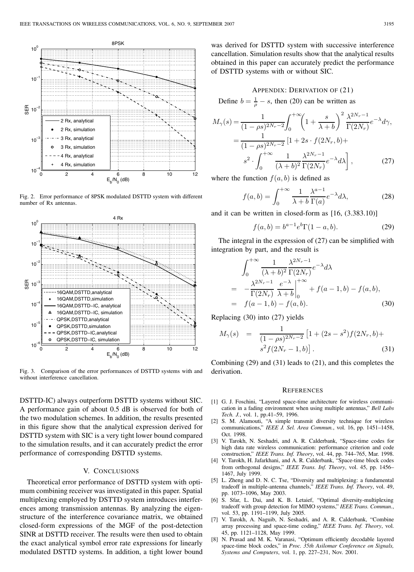

Fig. 2. Error performance of 8PSK modulated DSTTD system with different number of Rx antennas.



Fig. 3. Comparison of the error performances of DSTTD systems with and without interference cancellation.

DSTTD-IC) always outperform DSTTD systems without SIC. A performance gain of about 0.5 dB is observed for both of the two modulation schemes. In addition, the results presented in this figure show that the analytical expression derived for DSTTD system with SIC is a very tight lower bound compared to the simulation results, and it can accurately predict the error performance of corresponding DSTTD systems.

## V. CONCLUSIONS

Theoretical error performance of DSTTD system with optimum combining receiver was investigated in this paper. Spatial multiplexing employed by DSTTD system introduces interferences among transmission antennas. By analyzing the eigenstructure of the interference covariance matrix, we obtained closed-form expressions of the MGF of the post-detection SINR at DSTTD receiver. The results were then used to obtain the exact analytical symbol error rate expressions for linearly modulated DSTTD systems. In addition, a tight lower bound

was derived for DSTTD system with successive interference cancellation. Simulation results show that the analytical results obtained in this paper can accurately predict the performance of DSTTD systems with or without SIC.

APPENDIX: DERIVATION OF (21)  
Define 
$$
b = \frac{1}{\rho} - s
$$
, then (20) can be written as

$$
M_{\gamma}(s) = \frac{1}{(1 - \rho s)^{2N_r - 2}} \int_0^{+\infty} \left(1 + \frac{s}{\lambda + b}\right)^2 \frac{\lambda^{2N_r - 1}}{\Gamma(2N_r)} e^{-\lambda} d\gamma,
$$
  
= 
$$
\frac{1}{(1 - \rho s)^{2N_r - 2}} \left[1 + 2s \cdot f(2N_r, b) + \frac{s^2}{\lambda} \int_0^{+\infty} \frac{1}{(\lambda + b)^2} \frac{\lambda^{2N_r - 1}}{\Gamma(2N_r)} e^{-\lambda} d\lambda \right],
$$
(27)

where the function  $f(a, b)$  is defined as

$$
f(a,b) = \int_0^{+\infty} \frac{1}{\lambda + b} \frac{\lambda^{a-1}}{\Gamma(a)} e^{-\lambda} d\lambda,
$$
 (28)

and it can be written in closed-form as [16, (3.383.10)]

$$
f(a,b) = b^{a-1}e^b \Gamma(1-a,b).
$$
 (29)

The integral in the expression of (27) can be simplified with integration by part, and the result is

$$
\int_0^{+\infty} \frac{1}{(\lambda+b)^2} \frac{\lambda^{2N_r-1}}{\Gamma(2N_r)} e^{-\lambda} d\lambda
$$
  
= 
$$
-\frac{\lambda^{2N_r-1}}{\Gamma(2N_r)} \frac{e^{-\lambda}}{\lambda+b} \Big|_0^{+\infty} + f(a-1,b) - f(a,b),
$$
  
= 
$$
f(a-1,b) - f(a,b).
$$
 (30)

Replacing (30) into (27) yields

$$
M_{\gamma}(s) = \frac{1}{(1 - \rho s)^{2N_r - 2}} \left[ 1 + (2s - s^2) f(2N_r, b) + s^2 f(2N_r - 1, b) \right].
$$
\n(31)

Combining (29) and (31) leads to (21), and this completes the derivation.

#### **REFERENCES**

- [1] G. J. Foschini, "Layered space-time architecture for wireless communication in a fading environment when using multiple antennas," *Bell Labs Tech. J.*, vol. 1, pp.41–59, 1996.
- [2] S. M. Alamouti, "A simple transmit diversity technique for wireless communications," *IEEE J. Sel. Area Commun.*, vol. 16, pp. 1451–1458, Oct. 1998.
- [3] V. Tarokh, N. Seshadri, and A. R. Calderbank, "Space-time codes for high data rate wireless communication: performance criterion and code construction," *IEEE Trans. Inf. Theory*, vol. 44, pp. 744–765, Mar. 1998.
- [4] V. Tarokh, H. Jafarkhani, and A. R. Calderbank, "Space-time block codes from orthogonal designs," *IEEE Trans. Inf. Theory*, vol. 45, pp. 1456– 1467, July 1999.
- [5] L. Zheng and D. N. C. Tse, "Diversity and multiplexing: a fundamental tradeoff in multiple-antenna channels," *IEEE Trans. Inf. Theory*, vol. 49, pp. 1073–1096, May 2003.
- [6] S. Sfar, L. Dai, and K. B. Letaief, "Optimal diversity-multiplexing tradeoff with group detection for MIMO systems," *IEEE Trans. Commun.*, vol. 53, pp. 1191–1199, July 2005.
- [7] V. Tarokh, A. Naguib, N. Seshadri, and A. R. Calderbank, "Combine array processing and space-time coding," *IEEE Trans. Inf. Theory*, vol. 45, pp. 1121–1128, May 1999.
- [8] N. Prasad and M. K. Varanasi, "Optimum efficiently decodable layered space-time block codes," in *Proc. 35th Asilomar Conference on Signals, Systems and Computers*, vol. 1, pp. 227–231, Nov. 2001.